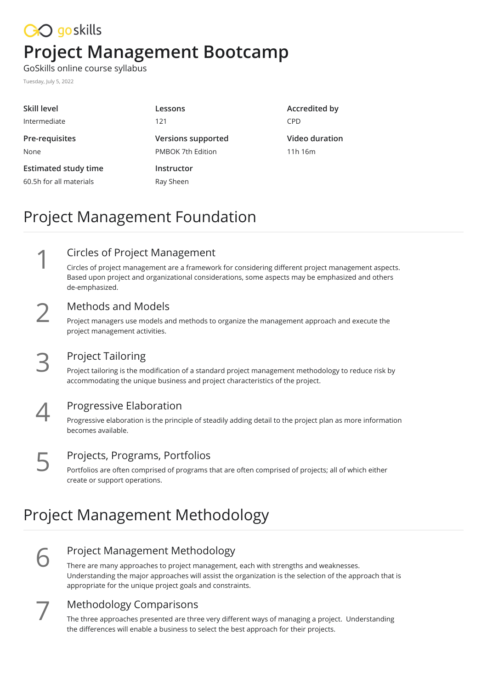## CO goskills **Project Management Bootcamp**

GoSkills online course syllabus

Tuesday, July 5, 2022

| Lessons                   | Accredited by  |
|---------------------------|----------------|
| 121                       | <b>CPD</b>     |
| <b>Versions supported</b> | Video duration |
| PMBOK 7th Edition         | 11h 16m        |
| Instructor                |                |
| Ray Sheen                 |                |
|                           |                |

## Project Management Foundation

Circles of Project Management Circles of project management are a framework for considering different project management aspects. Based upon project and organizational considerations, some aspects may be emphasized and others de-emphasized. 1

**2** Methods and Models<br>
Project managers use models and<br>
project management activities. Project managers use models and methods to organize the management approach and execute the

#### Project Tailoring

Project tailoring is the modification of a standard project management methodology to reduce risk by **accommodating 3 Project Tailoring**<br>Project tailoring is the modification of a standard project management method<br>accommodating the unique business and project characteristics of the project.



**Progressive Elaboration**<br> **Progressive elaboration is the princip**<br>
becomes available. Progressive elaboration is the principle of steadily adding detail to the project plan as more information

#### Projects, Programs, Portfolios

Portfolios are often comprised of programs that are often comprised of projects; all of which either **FROJECTS, Programs,**<br>Portfolios are often comprised<br>create or support operations.

## Project Management Methodology

6

#### Project Management Methodology

There are many approaches to project management, each with strengths and weaknesses. Understanding the major approaches will assist the organization is the selection of the approach that is appropriate for the unique project goals and constraints.



#### Methodology Comparisons

The three approaches presented are three very different ways of managing a project. Understanding **the differences will enable a business to select the best approach for their projects.**<br>The differences will enable a business to select the best approach for their projects.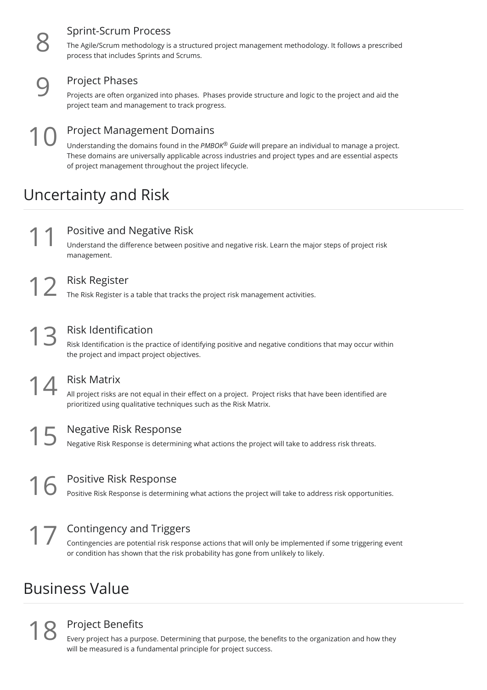#### Sprint-Scrum Process

The Agile/Scrum methodology is <sup>a</sup> structured project management methodology. It follows <sup>a</sup> prescribed 8 process that includes Sprints and Scrums.

#### Project Phases

Projects are often organized into phases. Phases provide structure and logic to the project and aid the **9** Project Phases<br>Projects are often organized into phases. Phases<br>project team and management to track progress.

#### Project Management Domains Understanding the domains found in the *PMBOK® Guide* will prepare an individual to manage a project. These domains are universally applicable across industries and project types and are essential aspects of project management throughout the project lifecycle.  $10<sup>F</sup>$

## Uncertainty and Risk

**11** Positive and Negative Risk<br>
Understand the difference between posi<br>
management. Understand the difference between positive and negative risk. Learn the major steps of project risk

Risk Register<br>12 The Risk Register is a table that tracks the project risk management activities.

## Risk Identification

Risk Identification is the practice of identifying positive and negative conditions that may occur within 13 Risk Identification<br>Risk Identification is the practice of identif<br>the project and impact project objectives.

#### Risk Matrix All project risks are not equal in their effect on a project. Project risks that have been identified are 14 Risk Matrix<br>All project risks are not equal in their effect on a project. Project<br>prioritized using qualitative techniques such as the Risk Matrix.

Negative Risk Response<br>Negative Risk Response is determining what actions the project will take to address risk threats.

Positive Risk Response<br>Positive Risk Response is determining what actions the project will take to address risk opportunities.

#### Contingency and Triggers

Contingencies are potential risk response actions that will only be implemented if some triggering event **17 Contingency and Triggers**<br>Contingencies are potential risk response actions that will only be implemented<br>or condition has shown that the risk probability has gone from unlikely to likely.

## Business Value

### Project Benefits

Every project has a purpose. Determining that purpose, the benefits to the organization and how they will be measured is a fundamental principle for project success.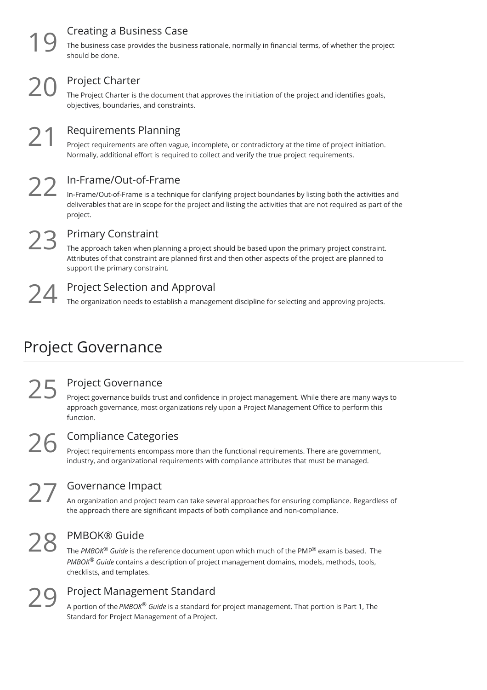### Creating a Business Case

The business case provides the business rationale, normally in financial terms, of whether the project should be done.

### Project Charter

The Project Charter is the document that approves the initiation of the project and identifies goals, **20** Project Charter<br>The Project Charter is the document that<br>objectives, boundaries, and constraints.

Requirements Planning Project requirements are often vague, incomplete, or contradictory at the time of project initiation. Requirements Planning<br>
Project requirements are often vague, incomplete, or contradictory at the time of project<br>
Normally, additional effort is required to collect and verify the true project requirements.

 $22<sup>1</sup>$ 

#### In-Frame/Out-of-Frame

In-Frame/Out-of-Frame is a technique for clarifying project boundaries by listing both the activities and deliverables that are in scope for the project and listing the activities that are not required as part of the project.

 $23<sub>r</sub>$ 

#### Primary Constraint

The approach taken when planning a project should be based upon the primary project constraint. Attributes of that constraint are planned first and then other aspects of the project are planned to support the primary constraint.

Project Selection and Approval<br>24 The organization needs to establish a management discipline for selecting and approving projects.

## Project Governance

Project governance builds trust and confidence in project management. While there are many ways to approach governance, most organizations rely upon a Project Management Office to perform this function.  $25<sup>F</sup>$ 

#### Compliance Categories

Project Governance

Project requirements encompass more than the functional requirements. There are government, **26** Compliance Categories<br>Project requirements encompass more than the functional requirements. There are governme<br>industry, and organizational requirements with compliance attributes that must be managed.

#### Governance Impact

An organization and project team can take several approaches for ensuring compliance. Regardless of the approach there are significant impacts of both compliance and non-compliance.

### PMBOK® Guide  $28<sub>r</sub>$

The *PMBOK® Guide* is the reference document upon which much of the PMP® exam is based. The *PMBOK® Guide* contains a description of project management domains, models, methods, tools, checklists, and templates.

**29** Project Management Standard<br>
A portion of the *PMBOK<sup>®</sup> Guide* is a standard for<br>
Standard for Project Management of a Project. A portion of the *PMBOK® Guide* is a standard for project management. That portion is Part 1, The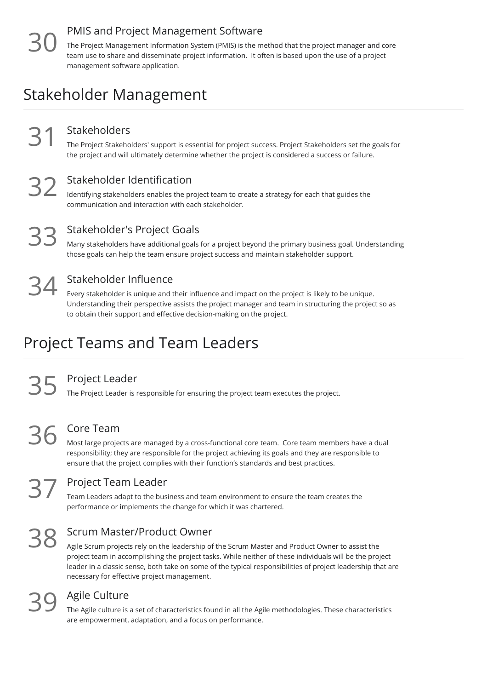### PMIS and Project Management Software

The Project Management Information System (PMIS) is the method that the project manager and core team use to share and disseminate project information. It often is based upon the use of a project management software application. 30

## Stakeholder Management

#### Stakeholders

The Project Stakeholders' support is essential for project success. Project Stakeholders set the goals for Stakeholders<br>The Project Stakeholders' support is essential for project success. Project Stakeholders set the g<br>the project and will ultimately determine whether the project is considered a success or failure.

#### Stakeholder Identification

Identifying stakeholders enables the project team to create a strategy for each that guides the Stakeholder Identification<br>Identifying stakeholders enables the project team to cree<br>communication and interaction with each stakeholder.

Stakeholder's Project Goals

Many stakeholders have additional goals for a project beyond the primary business goal. Understanding those goals can help the team ensure project success and maintain stakeholder support.

 $34<sup>°</sup>$ 

#### Stakeholder Influence

Every stakeholder is unique and their influence and impact on the project is likely to be unique. Understanding their perspective assists the project manager and team in structuring the project so as to obtain their support and effective decision-making on the project.

## Project Teams and Team Leaders

Project Leader<br>35 The Project Leader is responsible for ensuring the project team executes the project.

# 36

Core Team

Most large projects are managed by a cross-functional core team. Core team members have a dual responsibility; they are responsible for the project achieving its goals and they are responsible to ensure that the project complies with their function's standards and best practices.

#### Project Team Leader

Team Leaders adapt to the business and team environment to ensure the team creates the performance or implements the change for which it was chartered.

### Scrum Master/Product Owner 38

Agile Scrum projects rely on the leadership of the Scrum Master and Product Owner to assist the project team in accomplishing the project tasks. While neither of these individuals will be the project leader in a classic sense, both take on some of the typical responsibilities of project leadership that are necessary for effective project management.

#### Agile Culture

The Agile culture is a set of characteristics found in all the Agile methodologies. These characteristics **39** Agile Culture<br>The Agile culture is a set of characteristics found in all the Agile are empowerment, adaptation, and a focus on performance.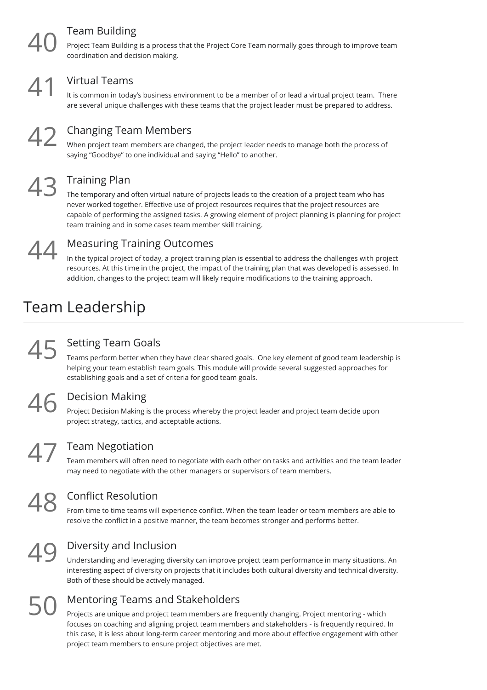### Team Building

Proiect Team Building is a process that the Project Core Team normally goes through to improve team coordination and decision making.



#### Virtual Teams

It is common in today's business environment to be a member of or lead a virtual project team. There 41 Virtual Teams<br>are several unique challenges with these teams that the project leader must be prepared to address.



#### Changing Team Members

When project team members are changed, the project leader needs to manage both the process of **42 Changing Team Members**<br>When project team members are changed, the project leader nee<br>saying "Goodbye" to one individual and saying "Hello" to another.

### Training Plan 43

The temporary and often virtual nature of projects leads to the creation of a project team who has never worked together. Effective use of project resources requires that the project resources are capable of performing the assigned tasks. A growing element of project planning is planning for project team training and in some cases team member skill training.



### Measuring Training Outcomes

In the typical project of today, a project training plan is essential to address the challenges with project resources. At this time in the project, the impact of the training plan that was developed is assessed. In addition, changes to the project team will likely require modifications to the training approach.

## Team Leadership

### Setting Team Goals  $45 \frac{9}{11}$

Teams perform better when they have clear shared goals. One key element of good team leadership is helping your team establish team goals. This module will provide several suggested approaches for establishing goals and a set of criteria for good team goals.

#### Decision Making

Project Decision Making is the process whereby the project leader and project team decide upon  $46$  Decision Making<br>
Project Decision Making is the process whereby<br>
project strategy, tactics, and acceptable actions.

#### Team Negotiation

Team members will often need to negotiate with each other on tasks and activities and the team leader Team Negotiation<br>Team members will often need to negotiate with each other on tasks and activities<br>may need to negotiate with the other managers or supervisors of team members.

#### Conflict Resolution

From time to time teams will experience conflict. When the team leader or team members are able to **48** Conflict Resolution<br>From time to time teams will experience conflict. When the team leader or team members<br>resolve the conflict in a positive manner, the team becomes stronger and performs better.

49

### Diversity and Inclusion

Understanding and leveraging diversity can improve project team performance in many situations. An interesting aspect of diversity on projects that it includes both cultural diversity and technical diversity. Both of these should be actively managed.

# 50

### Mentoring Teams and Stakeholders

Projects are unique and project team members are frequently changing. Project mentoring - which focuses on coaching and aligning project team members and stakeholders - is frequently required. In this case, it is less about long-term career mentoring and more about effective engagement with other project team members to ensure project objectives are met.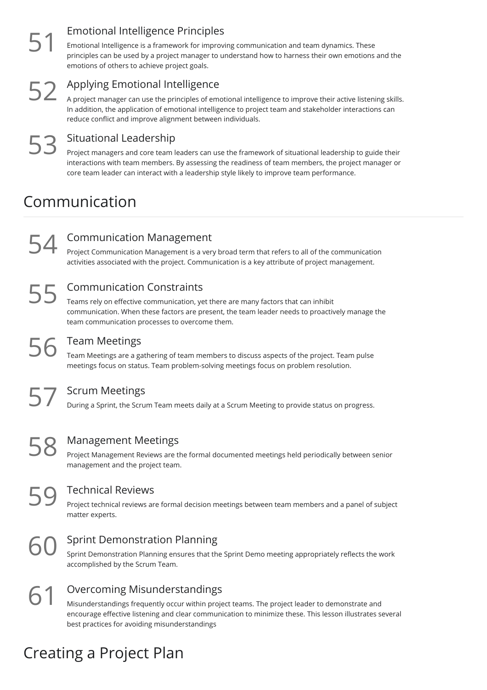$51<sup>1</sup>$ 

### Emotional Intelligence Principles

Emotional Intelligence is a framework for improving communication and team dynamics. These principles can be used by a project manager to understand how to harness their own emotions and the emotions of others to achieve project goals.

# $52<sup>4</sup>$

#### Applying Emotional Intelligence

A project manager can use the principles of emotional intelligence to improve their active listening skills. In addition, the application of emotional intelligence to project team and stakeholder interactions can reduce conflict and improve alignment between individuals.

### Situational Leadership 53

Project managers and core team leaders can use the framework of situational leadership to guide their interactions with team members. By assessing the readiness of team members, the project manager or core team leader can interact with a leadership style likely to improve team performance.

## Communication

### Communication Management

Project Communication Management is a very broad term that refers to all of the communication **600 SET Activities associated with the project. Communication is a key straid term that refers to all of the communication activities associated with the project. Communication is a key attribute of project management.** 

### Communication Constraints 55 °

Teams rely on effective communication, yet there are many factors that can inhibit communication. When these factors are present, the team leader needs to proactively manage the team communication processes to overcome them.

#### Team Meetings

Team Meetings are a gathering of team members to discuss aspects of the project. Team pulse Team Meetings<br>Team Meetings are a gathering of team members to discuss aspects of the project. Team<br>meetings focus on status. Team problem-solving meetings focus on problem resolution.

Scrum Meetings<br>57 During a Sprint, the Scrum Team meets daily at a Scrum Meeting to provide status on progress.

58 Management Meetings<br>
Project Management Reviews are th<br>
management and the project team. Project Management Reviews are the formal documented meetings held periodically between senior

59 Technical Reviews<br>
Project technical reviews are<br>
matter experts. Project technical reviews are formal decision meetings between team members and a panel of subject

**60** Sprint Demonstration Planning<br>
sprint Demonstration Planning ensures that the<br>
accomplished by the Scrum Team. Sprint Demonstration Planning ensures that the Sprint Demo meeting appropriately reflects the work

Overcoming Misunderstandings 61

Misunderstandings frequently occur within project teams. The project leader to demonstrate and encourage effective listening and clear communication to minimize these. This lesson illustrates several best practices for avoiding misunderstandings

## Creating a Project Plan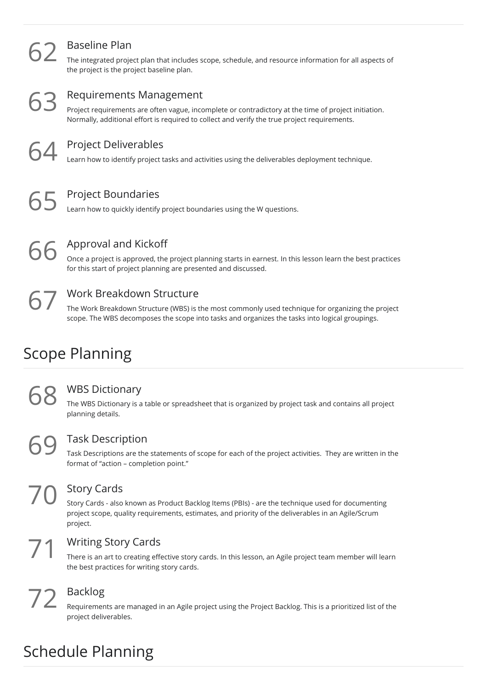| 62 | <b>Baseline Plan</b><br>The integrated project plan that includes scope, schedule, and resource information for all aspects of<br>the project is the project baseline plan.                                                            |
|----|----------------------------------------------------------------------------------------------------------------------------------------------------------------------------------------------------------------------------------------|
| 63 | Requirements Management<br>Project requirements are often vague, incomplete or contradictory at the time of project initiation.<br>Normally, additional effort is required to collect and verify the true project requirements.        |
| 64 | <b>Project Deliverables</b><br>Learn how to identify project tasks and activities using the deliverables deployment technique.                                                                                                         |
| 65 | <b>Project Boundaries</b><br>Learn how to quickly identify project boundaries using the W questions.                                                                                                                                   |
| 66 | Approval and Kickoff<br>Once a project is approved, the project planning starts in earnest. In this lesson learn the best practices<br>for this start of project planning are presented and discussed.                                 |
|    | <b>Work Breakdown Structure</b><br>The Work Breakdown Structure (WBS) is the most commonly used technique for organizing the project<br>scope. The WBS decomposes the scope into tasks and organizes the tasks into logical groupings. |

## Scope Planning

**68** WBS Dictionary<br>The WBS Dictionary is a the planning details. The WBS Dictionary is a table or spreadsheet that is organized by project task and contains all project

#### Task Description

Task Descriptions are the statements of scope for each of the project activities. They are written in the **69** Task Description<br>Task Descriptions are the statements of "action – completion point."

 $70 \frac{9}{5}$ 

### Story Cards

Story Cards - also known as Product Backlog Items (PBIs) - are the technique used for documenting project scope, quality requirements, estimates, and priority of the deliverables in an Agile/Scrum project.

#### Writing Story Cards

There is an art to creating effective story cards. In this lesson, an Agile project team member will learn **1** Writing Story Cards<br>There is an art to creating effective story of<br>the best practices for writing story cards.

#### Backlog

Requirements are managed in an Agile project using the Project Backlog. This is a prioritized list of the  $72$  Backlog<br>Requirements are movely project deliverables.

## Schedule Planning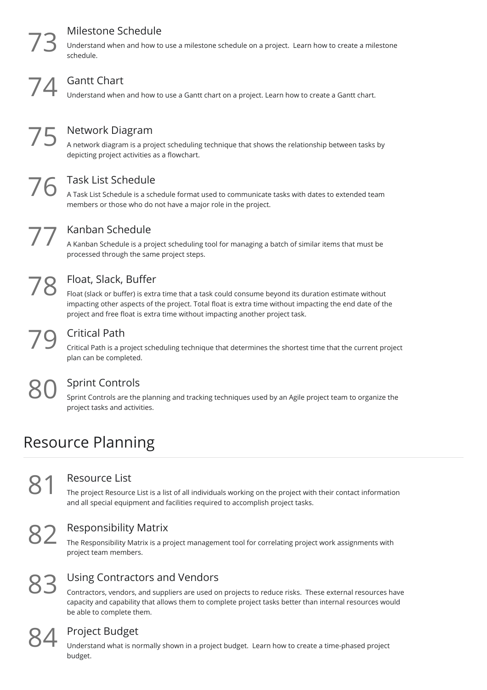### Milestone Schedule

Understand when and how to use <sup>a</sup> milestone schedule on <sup>a</sup> project. Learn how to create <sup>a</sup> milestone 73 schedule.

Gantt Chart<br>That is a Ganterstand when and how to use a Gantt chart on a project. Learn how to create a Gantt chart.

Network Diagram

A network diagram is a project scheduling technique that shows the relationship between tasks by **75** Network Diagram<br>A network diagram is a project scheduling<br>depicting project activities as a flowchart.

### Task List Schedule

A Task List Schedule is a schedule format used to communicate tasks with dates to extended team Task List Schedule<br>A Task List Schedule is a schedule format used to communicate<br>members or those who do not have a major role in the project.

#### Kanban Schedule

A Kanban Schedule is a project scheduling tool for managing a batch of similar items that must be **From Schedule**<br>A Kanban Schedule is a project scheduling the same project steps.

78 F

### Float, Slack, Buffer

Float (slack or buffer) is extra time that a task could consume beyond its duration estimate without impacting other aspects of the project. Total float is extra time without impacting the end date of the project and free float is extra time without impacting another project task.

#### Critical Path

Critical Path is a project scheduling technique that determines the shortest time that the current project 79 Critical Path<br>Critical Path is a project<br>plan can be completed.

#### Sprint Controls

Sprint Controls are the planning and tracking techniques used by an Agile project team to organize the project tasks and activities.

## Resource Planning

#### Resource List

The project Resource List is a list of all individuals working on the project with their contact information **81 Resource List**<br>The project Resource List is a list of all individuals working on the project with<br>and all special equipment and facilities required to accomplish project tasks.

**82** Responsibility Matrix<br>The Responsibility Matrix is a proproject team members. The Responsibility Matrix is a project management tool for correlating project work assignments with

83

#### Using Contractors and Vendors

Contractors, vendors, and suppliers are used on projects to reduce risks. These external resources have capacity and capability that allows them to complete project tasks better than internal resources would be able to complete them.



**84** Project Budget<br>
Understand what is not<br>
budget. Understand what is normally shown in a project budget. Learn how to create a time-phased project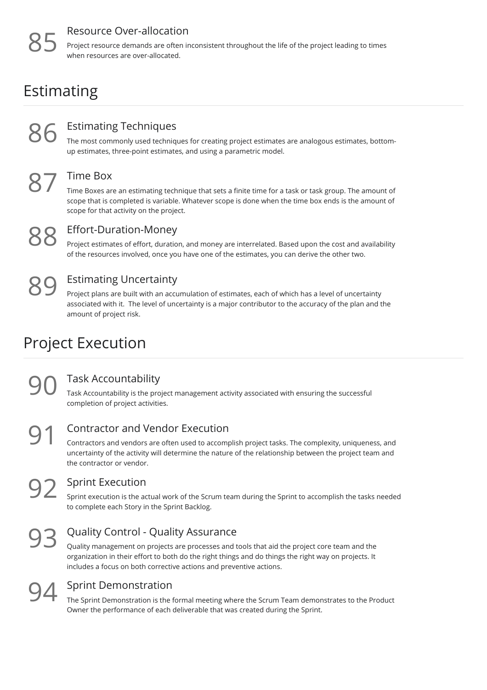#### Resource Over-allocation

Project resource demands are often inconsistent throughout the life of the project leading to times when resources are over-allocated.

## Estimating



#### Estimating Techniques

The most commonly used techniques for creating project estimates are analogous estimates, bottom-**SESTERN EST EST EST EXERVITED EST EST EXERCITED EST EXERCITED THE MOST THE MORE THEORY CONTINUES** The most commonly used techniques for creating project estimates up estimates, three-point estimates, and using a parametri



#### Time Box

Time Boxes are an estimating technique that sets a finite time for a task or task group. The amount of scope that is completed is variable. Whatever scope is done when the time box ends is the amount of scope for that activity on the project.



#### Effort-Duration-Money

Project estimates of effort, duration, and money are interrelated. Based upon the cost and availability **OFF STERN CONTERN CONTERN CONTERN CONTERN CONTERN CONTERN CONTERN CONTERN CONTERN CONTERN CONTERN CONTERN CONTERN CONTERN CONTERN CONTERN CONTERN CONTERN CONTERN CONTERN CONTERN CONTERN CONTERN CONTERN CONTERN CONTERN CON** 



### Estimating Uncertainty

Project plans are built with an accumulation of estimates, each of which has a level of uncertainty associated with it. The level of uncertainty is a major contributor to the accuracy of the plan and the amount of project risk.

## Project Execution

**90** Task Accountability<br>
Task Accountability is the project<br>
completion of project activities. Task Accountability is the project management activity associated with ensuring the successful

91 °

#### Contractor and Vendor Execution

Contractors and vendors are often used to accomplish project tasks. The complexity, uniqueness, and uncertainty of the activity will determine the nature of the relationship between the project team and the contractor or vendor.

#### Sprint Execution

Sprint execution is the actual work of the Scrum team during the Sprint to accomplish the tasks needed **92** Sprint Execution<br>sprint execution is the actual work of the Scru<br>to complete each Story in the Sprint Backlog.

# 93

#### Quality Control - Quality Assurance

Quality management on projects are processes and tools that aid the project core team and the organization in their effort to both do the right things and do things the right way on projects. It includes a focus on both corrective actions and preventive actions.



#### Sprint Demonstration

The Sprint Demonstration is the formal meeting where the Scrum Team demonstrates to the Product **OU** Sprint Demonstration<br>The Sprint Demonstration is the formal meeting where the Scrum Team demon<br>Owner the performance of each deliverable that was created during the Sprint.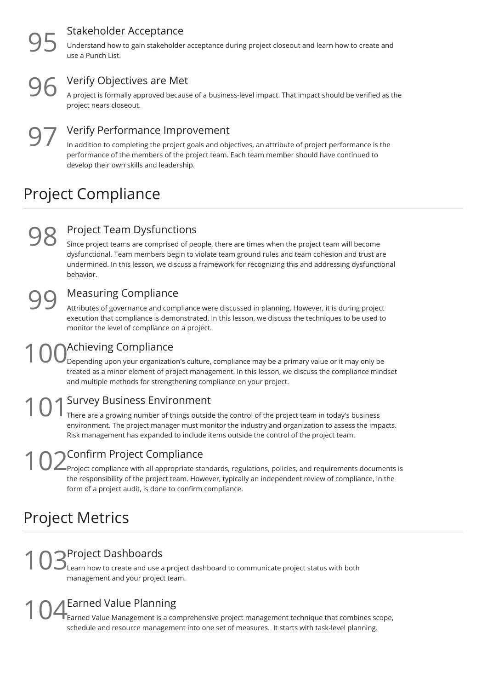#### Stakeholder Acceptance

Understand how to gain stakeholder acceptance during project closeout and learn how to create and use a Punch List.

**96** Verify Objectives are Met<br>A project is formally approved because<br>project nears closeout. A project is formally approved because of a business-level impact. That impact should be verified as the

Verify Performance Improvement  $97<sub>ir</sub>$ 

In addition to completing the project goals and objectives, an attribute of project performance is the performance of the members of the project team. Each team member should have continued to develop their own skills and leadership.

## Project Compliance

# 98 s

#### Project Team Dysfunctions

Since project teams are comprised of people, there are times when the project team will become dysfunctional. Team members begin to violate team ground rules and team cohesion and trust are undermined. In this lesson, we discuss a framework for recognizing this and addressing dysfunctional behavior.

99

#### Measuring Compliance

Attributes of governance and compliance were discussed in planning. However, it is during project execution that compliance is demonstrated. In this lesson, we discuss the techniques to be used to monitor the level of compliance on a project.

### Achieving Compliance  $100<sub>Dep</sub><sub>Dep</sub>$

 $^\prime$ Depending upon your organization's culture, compliance may be a primary value or it may only be treated as a minor element of project management. In this lesson, we discuss the compliance mindset and multiple methods for strengthening compliance on your project.

#### Survey Business Environment  $101<sub>There</sub>$

There are a growing number of things outside the control of the project team in today's business environment. The project manager must monitor the industry and organization to assess the impacts. Risk management has expanded to include items outside the control of the project team.

Confirm Project Compliance  $102<sub>Proj</sub><sub>Proof</sub>$ 

Project compliance with all appropriate standards, regulations, policies, and requirements documents is the responsibility of the project team. However, typically an independent review of compliance, in the form of a project audit, is done to confirm compliance.

## Project Metrics

Project Dashboards Learn how to create and use a project dashboard to communicate project status with both 1 O SProject Dashboards<br>management and your project team.

### Earned Value Planning

Earned Value Management is a comprehensive project management technique that combines scope, **Schemed Value Planning**<br>Schedule and resource management into one set of measures. It starts with task-level planning.<br> **104** Earned Value Management is a comprehensive project management technique that combines schedule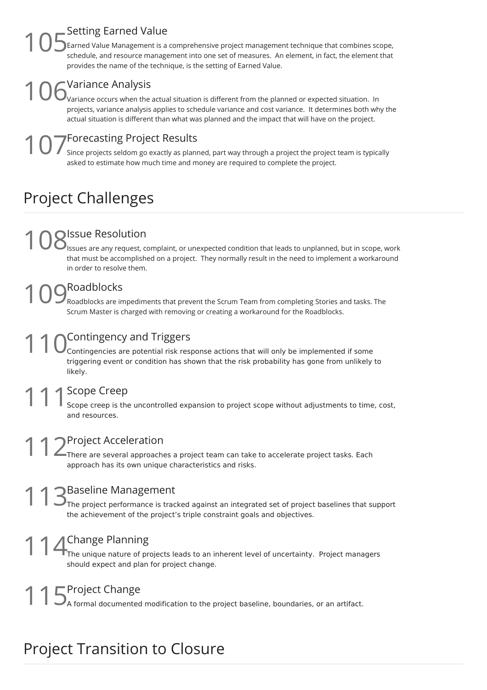#### Setting Earned Value

Earned Value Management is a comprehensive project management technique that combines scope, schedule, and resource management into one set of measures. An element, in fact, the element that provides the name of the technique, is the setting of Earned Value.  $105<sub>arm</sub><sub>scale</sub>$ 

### Variance Analysis  $106<sub>varia</sub><sup>Var</sup>$

Variance occurs when the actual situation is different from the planned or expected situation. In projects, variance analysis applies to schedule variance and cost variance. It determines both why the actual situation is different than what was planned and the impact that will have on the project.

## Forecasting Project Results

Since projects seldom go exactly as planned, part way through a project the project team is typically **1 O 7** Forecasting Project Results<br>asked to estimate how much time and money are required to complete the project.<br>asked to estimate how much time and money are required to complete the project.

## Project Challenges

# 1 08 Issues are any request, corporation

Issues are any request, complaint, or unexpected condition that leads to unplanned, but in scope, work that must be accomplished on a project. They normally result in the need to implement a workaround in order to resolve them.

## Roadblocks

Roadblocks are impediments that prevent the Scrum Team from completing Stories and tasks. The **SCROMANDAN MANGE SCRUM MASTER CONTROVIDED MANUSTER CONTROVIDED SETS**<br>Scrum Master is charged with removing or creating a workaround for the Roadblocks.

### Contingency and Triggers  $110<sub>Coni</sub>$

Contingencies are potential risk response actions that will only be implemented if some triggering event or condition has shown that the risk probability has gone from unlikely to likely.

# 11 Scope Creep<br>
Scope creep is the<br>
and resources.

Scope creep is the uncontrolled expansion to project scope without adjustments to time, cost,

Project Acceleration There are several approaches a project team can take to accelerate project tasks. Each 1 2Project Acceleration<br>There are several approaches a project team can take<br>approach has its own unique characteristics and risks.

#### Baseline Management

The project performance is tracked against an integrated set of project baselines that support **the achievement**<br>The project performance is tracked against an integrated set of project<br>the achievement of the project's triple constraint goals and objectives.

### Change Planning

The unique nature of projects leads to an inherent level of uncertainty. Project managers 11 Change Planning<br>The unique nature of projects leads to an in<br>should expect and plan for project change.

15Project Change<br>15A formal documented modification to the project baseline, boundaries, or an artifact.

## Project Transition to Closure